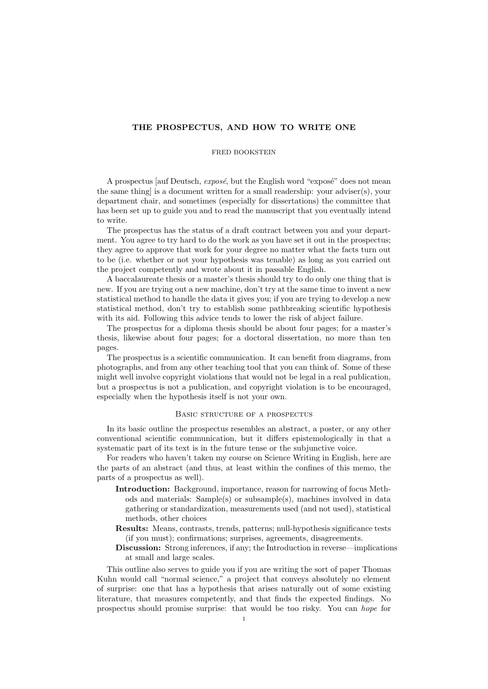# THE PROSPECTUS, AND HOW TO WRITE ONE

### FRED BOOKSTEIN

A prospectus [auf Deutsch,  $\exp\left(\frac{1}{2}gt\right)$ ] the English word "exposé" does not mean the same thing] is a document written for a small readership: your adviser(s), your department chair, and sometimes (especially for dissertations) the committee that has been set up to guide you and to read the manuscript that you eventually intend to write.

The prospectus has the status of a draft contract between you and your department. You agree to try hard to do the work as you have set it out in the prospectus; they agree to approve that work for your degree no matter what the facts turn out to be (i.e. whether or not your hypothesis was tenable) as long as you carried out the project competently and wrote about it in passable English.

A baccalaureate thesis or a master's thesis should try to do only one thing that is new. If you are trying out a new machine, don't try at the same time to invent a new statistical method to handle the data it gives you; if you are trying to develop a new statistical method, don't try to establish some pathbreaking scientific hypothesis with its aid. Following this advice tends to lower the risk of abject failure.

The prospectus for a diploma thesis should be about four pages; for a master's thesis, likewise about four pages; for a doctoral dissertation, no more than ten pages.

The prospectus is a scientific communication. It can benefit from diagrams, from photographs, and from any other teaching tool that you can think of. Some of these might well involve copyright violations that would not be legal in a real publication, but a prospectus is not a publication, and copyright violation is to be encouraged, especially when the hypothesis itself is not your own.

# Basic structure of a prospectus

In its basic outline the prospectus resembles an abstract, a poster, or any other conventional scientific communication, but it differs epistemologically in that a systematic part of its text is in the future tense or the subjunctive voice.

For readers who haven't taken my course on Science Writing in English, here are the parts of an abstract (and thus, at least within the confines of this memo, the parts of a prospectus as well).

- Introduction: Background, importance, reason for narrowing of focus Methods and materials: Sample(s) or subsample(s), machines involved in data gathering or standardization, measurements used (and not used), statistical methods, other choices
- Results: Means, contrasts, trends, patterns; null-hypothesis significance tests (if you must); confirmations; surprises, agreements, disagreements.
- Discussion: Strong inferences, if any; the Introduction in reverse—implications at small and large scales.

This outline also serves to guide you if you are writing the sort of paper Thomas Kuhn would call "normal science," a project that conveys absolutely no element of surprise: one that has a hypothesis that arises naturally out of some existing literature, that measures competently, and that finds the expected findings. No prospectus should promise surprise: that would be too risky. You can hope for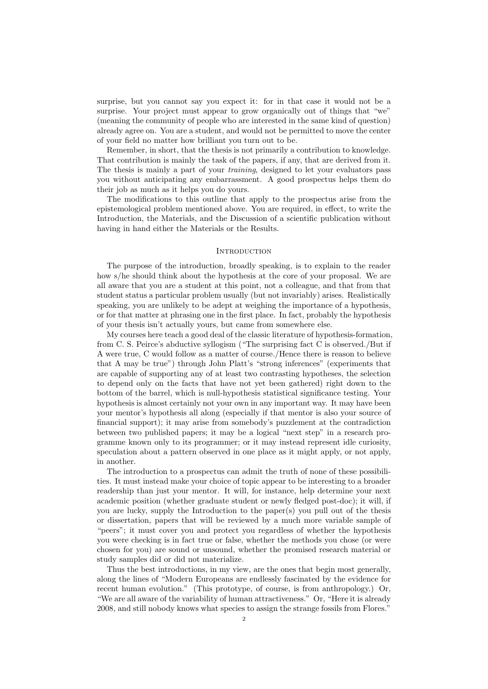surprise, but you cannot say you expect it: for in that case it would not be a surprise. Your project must appear to grow organically out of things that "we" (meaning the community of people who are interested in the same kind of question) already agree on. You are a student, and would not be permitted to move the center of your field no matter how brilliant you turn out to be.

Remember, in short, that the thesis is not primarily a contribution to knowledge. That contribution is mainly the task of the papers, if any, that are derived from it. The thesis is mainly a part of your training, designed to let your evaluators pass you without anticipating any embarrassment. A good prospectus helps them do their job as much as it helps you do yours.

The modifications to this outline that apply to the prospectus arise from the epistemological problem mentioned above. You are required, in effect, to write the Introduction, the Materials, and the Discussion of a scientific publication without having in hand either the Materials or the Results.

#### **INTRODUCTION**

The purpose of the introduction, broadly speaking, is to explain to the reader how s/he should think about the hypothesis at the core of your proposal. We are all aware that you are a student at this point, not a colleague, and that from that student status a particular problem usually (but not invariably) arises. Realistically speaking, you are unlikely to be adept at weighing the importance of a hypothesis, or for that matter at phrasing one in the first place. In fact, probably the hypothesis of your thesis isn't actually yours, but came from somewhere else.

My courses here teach a good deal of the classic literature of hypothesis-formation, from C. S. Peirce's abductive syllogism ("The surprising fact C is observed./But if A were true, C would follow as a matter of course./Hence there is reason to believe that A may be true") through John Platt's "strong inferences" (experiments that are capable of supporting any of at least two contrasting hypotheses, the selection to depend only on the facts that have not yet been gathered) right down to the bottom of the barrel, which is null-hypothesis statistical significance testing. Your hypothesis is almost certainly not your own in any important way. It may have been your mentor's hypothesis all along (especially if that mentor is also your source of financial support); it may arise from somebody's puzzlement at the contradiction between two published papers; it may be a logical "next step" in a research programme known only to its programmer; or it may instead represent idle curiosity, speculation about a pattern observed in one place as it might apply, or not apply, in another.

The introduction to a prospectus can admit the truth of none of these possibilities. It must instead make your choice of topic appear to be interesting to a broader readership than just your mentor. It will, for instance, help determine your next academic position (whether graduate student or newly fledged post-doc); it will, if you are lucky, supply the Introduction to the paper(s) you pull out of the thesis or dissertation, papers that will be reviewed by a much more variable sample of "peers"; it must cover you and protect you regardless of whether the hypothesis you were checking is in fact true or false, whether the methods you chose (or were chosen for you) are sound or unsound, whether the promised research material or study samples did or did not materialize.

Thus the best introductions, in my view, are the ones that begin most generally, along the lines of "Modern Europeans are endlessly fascinated by the evidence for recent human evolution." (This prototype, of course, is from anthropology.) Or, "We are all aware of the variability of human attractiveness." Or, "Here it is already 2008, and still nobody knows what species to assign the strange fossils from Flores."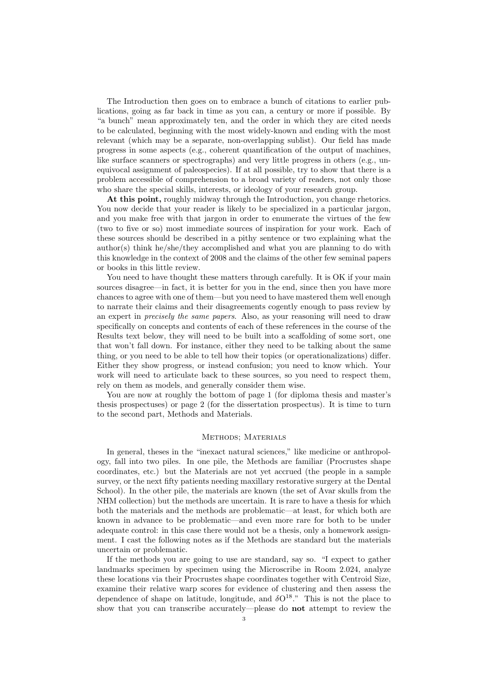The Introduction then goes on to embrace a bunch of citations to earlier publications, going as far back in time as you can, a century or more if possible. By "a bunch" mean approximately ten, and the order in which they are cited needs to be calculated, beginning with the most widely-known and ending with the most relevant (which may be a separate, non-overlapping sublist). Our field has made progress in some aspects (e.g., coherent quantification of the output of machines, like surface scanners or spectrographs) and very little progress in others (e.g., unequivocal assignment of paleospecies). If at all possible, try to show that there is a problem accessible of comprehension to a broad variety of readers, not only those who share the special skills, interests, or ideology of your research group.

At this point, roughly midway through the Introduction, you change rhetorics. You now decide that your reader is likely to be specialized in a particular jargon, and you make free with that jargon in order to enumerate the virtues of the few (two to five or so) most immediate sources of inspiration for your work. Each of these sources should be described in a pithy sentence or two explaining what the  $\alpha$ uthor(s) think he/she/they accomplished and what you are planning to do with this knowledge in the context of 2008 and the claims of the other few seminal papers or books in this little review.

You need to have thought these matters through carefully. It is OK if your main sources disagree—in fact, it is better for you in the end, since then you have more chances to agree with one of them—but you need to have mastered them well enough to narrate their claims and their disagreements cogently enough to pass review by an expert in precisely the same papers. Also, as your reasoning will need to draw specifically on concepts and contents of each of these references in the course of the Results text below, they will need to be built into a scaffolding of some sort, one that won't fall down. For instance, either they need to be talking about the same thing, or you need to be able to tell how their topics (or operationalizations) differ. Either they show progress, or instead confusion; you need to know which. Your work will need to articulate back to these sources, so you need to respect them, rely on them as models, and generally consider them wise.

You are now at roughly the bottom of page 1 (for diploma thesis and master's thesis prospectuses) or page 2 (for the dissertation prospectus). It is time to turn to the second part, Methods and Materials.

## Methods; Materials

In general, theses in the "inexact natural sciences," like medicine or anthropology, fall into two piles. In one pile, the Methods are familiar (Procrustes shape coordinates, etc.) but the Materials are not yet accrued (the people in a sample survey, or the next fifty patients needing maxillary restorative surgery at the Dental School). In the other pile, the materials are known (the set of Avar skulls from the NHM collection) but the methods are uncertain. It is rare to have a thesis for which both the materials and the methods are problematic—at least, for which both are known in advance to be problematic—and even more rare for both to be under adequate control: in this case there would not be a thesis, only a homework assignment. I cast the following notes as if the Methods are standard but the materials uncertain or problematic.

If the methods you are going to use are standard, say so. "I expect to gather landmarks specimen by specimen using the Microscribe in Room 2.024, analyze these locations via their Procrustes shape coordinates together with Centroid Size, examine their relative warp scores for evidence of clustering and then assess the dependence of shape on latitude, longitude, and  $\delta O^{18}$ ." This is not the place to show that you can transcribe accurately—please do not attempt to review the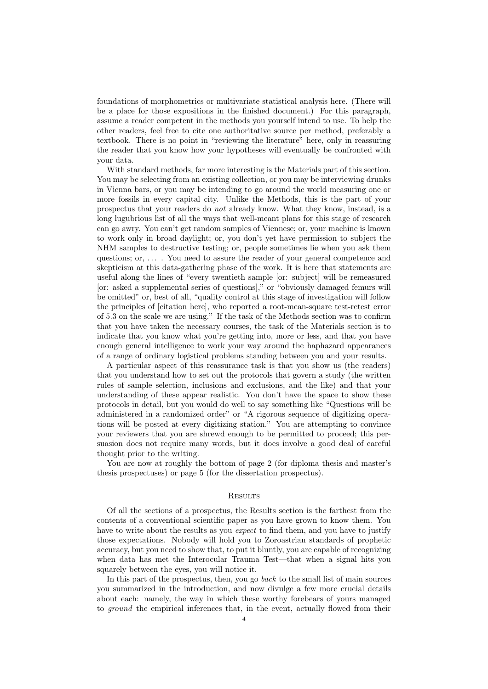foundations of morphometrics or multivariate statistical analysis here. (There will be a place for those expositions in the finished document.) For this paragraph, assume a reader competent in the methods you yourself intend to use. To help the other readers, feel free to cite one authoritative source per method, preferably a textbook. There is no point in "reviewing the literature" here, only in reassuring the reader that you know how your hypotheses will eventually be confronted with your data.

With standard methods, far more interesting is the Materials part of this section. You may be selecting from an existing collection, or you may be interviewing drunks in Vienna bars, or you may be intending to go around the world measuring one or more fossils in every capital city. Unlike the Methods, this is the part of your prospectus that your readers do not already know. What they know, instead, is a long lugubrious list of all the ways that well-meant plans for this stage of research can go awry. You can't get random samples of Viennese; or, your machine is known to work only in broad daylight; or, you don't yet have permission to subject the NHM samples to destructive testing; or, people sometimes lie when you ask them questions; or,  $\dots$ . You need to assure the reader of your general competence and skepticism at this data-gathering phase of the work. It is here that statements are useful along the lines of "every twentieth sample [or: subject] will be remeasured [or: asked a supplemental series of questions]," or "obviously damaged femurs will be omitted" or, best of all, "quality control at this stage of investigation will follow the principles of [citation here], who reported a root-mean-square test-retest error of 5.3 on the scale we are using." If the task of the Methods section was to confirm that you have taken the necessary courses, the task of the Materials section is to indicate that you know what you're getting into, more or less, and that you have enough general intelligence to work your way around the haphazard appearances of a range of ordinary logistical problems standing between you and your results.

A particular aspect of this reassurance task is that you show us (the readers) that you understand how to set out the protocols that govern a study (the written rules of sample selection, inclusions and exclusions, and the like) and that your understanding of these appear realistic. You don't have the space to show these protocols in detail, but you would do well to say something like "Questions will be administered in a randomized order" or "A rigorous sequence of digitizing operations will be posted at every digitizing station." You are attempting to convince your reviewers that you are shrewd enough to be permitted to proceed; this persuasion does not require many words, but it does involve a good deal of careful thought prior to the writing.

You are now at roughly the bottom of page 2 (for diploma thesis and master's thesis prospectuses) or page 5 (for the dissertation prospectus).

## **RESULTS**

Of all the sections of a prospectus, the Results section is the farthest from the contents of a conventional scientific paper as you have grown to know them. You have to write about the results as you *expect* to find them, and you have to justify those expectations. Nobody will hold you to Zoroastrian standards of prophetic accuracy, but you need to show that, to put it bluntly, you are capable of recognizing when data has met the Interocular Trauma Test—that when a signal hits you squarely between the eyes, you will notice it.

In this part of the prospectus, then, you go back to the small list of main sources you summarized in the introduction, and now divulge a few more crucial details about each: namely, the way in which these worthy forebears of yours managed to ground the empirical inferences that, in the event, actually flowed from their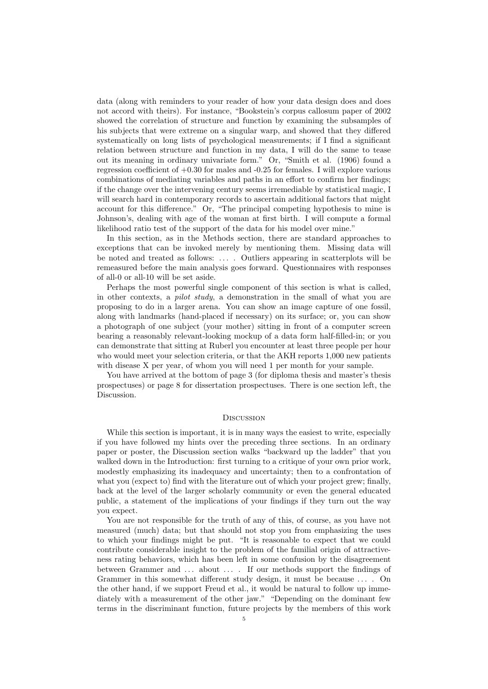data (along with reminders to your reader of how your data design does and does not accord with theirs). For instance, "Bookstein's corpus callosum paper of 2002 showed the correlation of structure and function by examining the subsamples of his subjects that were extreme on a singular warp, and showed that they differed systematically on long lists of psychological measurements; if I find a significant relation between structure and function in my data, I will do the same to tease out its meaning in ordinary univariate form." Or, "Smith et al. (1906) found a regression coefficient of  $+0.30$  for males and  $-0.25$  for females. I will explore various combinations of mediating variables and paths in an effort to confirm her findings; if the change over the intervening century seems irremediable by statistical magic, I will search hard in contemporary records to ascertain additional factors that might account for this difference." Or, "The principal competing hypothesis to mine is Johnson's, dealing with age of the woman at first birth. I will compute a formal likelihood ratio test of the support of the data for his model over mine."

In this section, as in the Methods section, there are standard approaches to exceptions that can be invoked merely by mentioning them. Missing data will be noted and treated as follows: . . . . Outliers appearing in scatterplots will be remeasured before the main analysis goes forward. Questionnaires with responses of all-0 or all-10 will be set aside.

Perhaps the most powerful single component of this section is what is called, in other contexts, a pilot study, a demonstration in the small of what you are proposing to do in a larger arena. You can show an image capture of one fossil, along with landmarks (hand-placed if necessary) on its surface; or, you can show a photograph of one subject (your mother) sitting in front of a computer screen bearing a reasonably relevant-looking mockup of a data form half-filled-in; or you can demonstrate that sitting at Ruberl you encounter at least three people per hour who would meet your selection criteria, or that the AKH reports 1,000 new patients with disease X per year, of whom you will need 1 per month for your sample.

You have arrived at the bottom of page 3 (for diploma thesis and master's thesis prospectuses) or page 8 for dissertation prospectuses. There is one section left, the Discussion.

## **DISCUSSION**

While this section is important, it is in many ways the easiest to write, especially if you have followed my hints over the preceding three sections. In an ordinary paper or poster, the Discussion section walks "backward up the ladder" that you walked down in the Introduction: first turning to a critique of your own prior work, modestly emphasizing its inadequacy and uncertainty; then to a confrontation of what you (expect to) find with the literature out of which your project grew; finally, back at the level of the larger scholarly community or even the general educated public, a statement of the implications of your findings if they turn out the way you expect.

You are not responsible for the truth of any of this, of course, as you have not measured (much) data; but that should not stop you from emphasizing the uses to which your findings might be put. "It is reasonable to expect that we could contribute considerable insight to the problem of the familial origin of attractiveness rating behaviors, which has been left in some confusion by the disagreement between Grammer and . . . about . . . . If our methods support the findings of Grammer in this somewhat different study design, it must be because . . . . On the other hand, if we support Freud et al., it would be natural to follow up immediately with a measurement of the other jaw." "Depending on the dominant few terms in the discriminant function, future projects by the members of this work